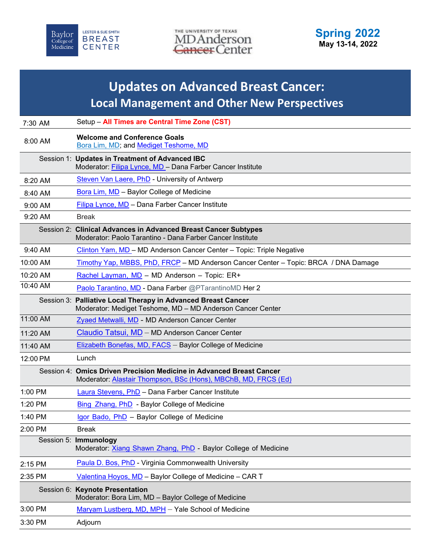



## **Updates on Advanced Breast Cancer: Local Management and Other New Perspectives**

| 7:30 AM   | Setup - All Times are Central Time Zone (CST)                                                                                          |
|-----------|----------------------------------------------------------------------------------------------------------------------------------------|
| 8:00 AM   | <b>Welcome and Conference Goals</b><br>Bora Lim, MD; and Mediget Teshome, MD                                                           |
|           | Session 1: Updates in Treatment of Advanced IBC<br>Moderator: Filipa Lynce, MD - Dana Farber Cancer Institute                          |
| 8:20 AM   | Steven Van Laere, PhD - University of Antwerp                                                                                          |
| 8:40 AM   | <b>Bora Lim, MD</b> - Baylor College of Medicine                                                                                       |
| 9:00 AM   | Filipa Lynce, MD - Dana Farber Cancer Institute                                                                                        |
| 9:20 AM   | <b>Break</b>                                                                                                                           |
|           | Session 2: Clinical Advances in Advanced Breast Cancer Subtypes<br>Moderator: Paolo Tarantino - Dana Farber Cancer Institute           |
| $9:40$ AM | Clinton Yam, MD - MD Anderson Cancer Center - Topic: Triple Negative                                                                   |
| 10:00 AM  | Timothy Yap, MBBS, PhD, FRCP - MD Anderson Cancer Center - Topic: BRCA / DNA Damage                                                    |
| 10:20 AM  | Rachel Layman, MD - MD Anderson - Topic: ER+                                                                                           |
| 10:40 AM  | Paolo Tarantino, MD - Dana Farber @PTarantinoMD Her 2                                                                                  |
|           | Session 3: Palliative Local Therapy in Advanced Breast Cancer<br>Moderator: Mediget Teshome, MD - MD Anderson Cancer Center            |
| 11:00 AM  | Zyaed Metwalli, MD - MD Anderson Cancer Center                                                                                         |
| 11:20 AM  | Claudio Tatsui, MD - MD Anderson Cancer Center                                                                                         |
| 11:40 AM  | Elizabeth Bonefas, MD, FACS - Baylor College of Medicine                                                                               |
| 12:00 PM  | Lunch                                                                                                                                  |
|           | Session 4: Omics Driven Precision Medicine in Advanced Breast Cancer<br>Moderator: Alastair Thompson, BSc (Hons), MBChB, MD, FRCS (Ed) |
| 1:00 PM   | Laura Stevens, PhD - Dana Farber Cancer Institute                                                                                      |
| 1:20 PM   | Bing Zhang, PhD - Baylor College of Medicine                                                                                           |
| 1:40 PM   | Igor Bado, PhD - Baylor College of Medicine                                                                                            |
| 2:00 PM   | <b>Break</b>                                                                                                                           |
|           | Session 5: Immunology<br>Moderator: Xiang Shawn Zhang, PhD - Baylor College of Medicine                                                |
| 2:15 PM   | Paula D. Bos, PhD - Virginia Commonwealth University                                                                                   |
| 2:35 PM   | Valentina Hoyos, MD - Baylor College of Medicine - CAR T                                                                               |
|           | Session 6: Keynote Presentation<br>Moderator: Bora Lim, MD - Baylor College of Medicine                                                |
| 3:00 PM   | Maryam Lustberg, MD, MPH - Yale School of Medicine                                                                                     |
| 3:30 PM   | Adjourn                                                                                                                                |